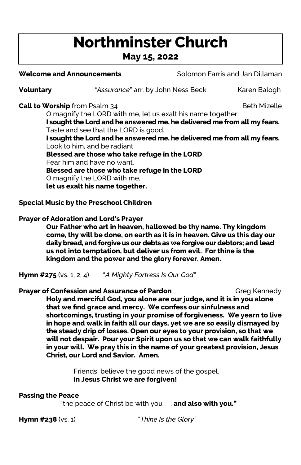# Northminster Church

## May 15, 2022

Welcome and Announcements **Solomon Farris and Jan Dillaman** 

**Voluntary Example 1** "Assurance" arr. by John Ness Beck Karen Balogh

**Call to Worship** from Psalm 34 **Beth Mizelle** Beth Mizelle

O magnify the LORD with me, let us exalt his name together. I sought the Lord and he answered me, he delivered me from all my fears. Taste and see that the LORD is good.

 I sought the Lord and he answered me, he delivered me from all my fears. Look to him, and be radiant Blessed are those who take refuge in the LORD

Fear him and have no want.

Blessed are those who take refuge in the LORD

O magnify the LORD with me,

let us exalt his name together.

## Special Music by the Preschool Children

## Prayer of Adoration and Lord's Prayer

Our Father who art in heaven, hallowed be thy name. Thy kingdom come, thy will be done, on earth as it is in heaven. Give us this day our daily bread, and forgive us our debts as we forgive our debtors; and lead us not into temptation, but deliver us from evil. For thine is the kingdom and the power and the glory forever. Amen.

**Hymn #275** (vs. 1, 2, 4)  $A$  Mighty Fortress Is Our God"

## **Prayer of Confession and Assurance of Pardon** Greq Kennedy

Holy and merciful God, you alone are our judge, and it is in you alone that we find grace and mercy. We confess our sinfulness and shortcomings, trusting in your promise of forgiveness. We yearn to live in hope and walk in faith all our days, yet we are so easily dismayed by the steady drip of losses. Open our eyes to your provision, so that we will not despair. Pour your Spirit upon us so that we can walk faithfully in your will. We pray this in the name of your greatest provision, Jesus Christ, our Lord and Savior. Amen.

> Friends, believe the good news of the gospel. In Jesus Christ we are forgiven!

## Passing the Peace

"the peace of Christ be with you . . . and also with you."

Hymn #238 (vs. 1) Thine Is the Glory"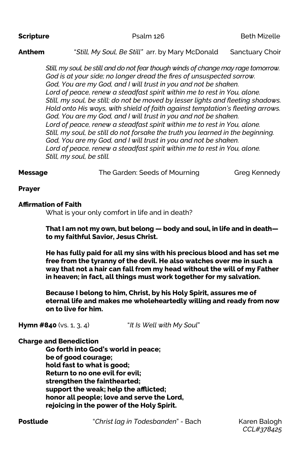**Scripture Example 126** Beth Mizelle

## Anthem "Still, My Soul, Be Still" arr. by Mary McDonald Sanctuary Choir

Still, my soul, be still and do not fear though winds of change may rage tomorrow. God is at your side; no longer dread the fires of unsuspected sorrow. God, You are my God, and I will trust in you and not be shaken. Lord of peace, renew a steadfast spirit within me to rest in You, alone. Still, my soul, be still; do not be moved by lesser lights and fleeting shadows. Hold onto His ways, with shield of faith against temptation's fleeting arrows. God, You are my God, and I will trust in you and not be shaken. Lord of peace, renew a steadfast spirit within me to rest in You, alone. Still, my soul, be still do not forsake the truth you learned in the beginning. God, You are my God, and I will trust in you and not be shaken. Lord of peace, renew a steadfast spirit within me to rest in You, alone. Still, my soul, be still.

**Message** The Garden: Seeds of Mourning Greg Kennedy

### Prayer

## **Affirmation of Faith**

What is your only comfort in life and in death?

### That I am not my own, but belong — body and soul, in life and in death to my faithful Savior, Jesus Christ.

He has fully paid for all my sins with his precious blood and has set me free from the tyranny of the devil. He also watches over me in such a way that not a hair can fall from my head without the will of my Father in heaven; in fact, all things must work together for my salvation.

Because I belong to him, Christ, by his Holy Spirit, assures me of eternal life and makes me wholeheartedly willing and ready from now on to live for him.

**Hymn #840** (vs. 1, 3, 4)  $\qquad$  "It Is Well with My Soul"

## **Charge and Benediction**

 Go forth into God's world in peace; be of good courage; hold fast to what is good; Return to no one evil for evil; strengthen the fainthearted; support the weak; help the afflicted; honor all people; love and serve the Lord, rejoicing in the power of the Holy Spirit.

**Postlude** "Christ lag in Todesbanden" - Bach Karen Balogh

CCL#378425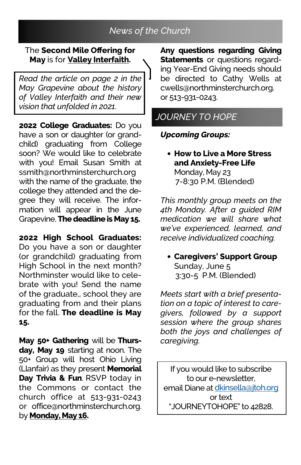## News of the Church

## The Second Mile Offering for May is for **Valley Interfaith.**

Read the article on page 2 in the May Grapevine about the history of Valley Interfaith and their new vision that unfolded in 2021.

2022 College Graduates: Do you have a son or daughter (or grandchild) graduating from College soon? We would like to celebrate with you! Email Susan Smith at ssmith@northminsterchurch.org with the name of the graduate, the college they attended and the degree they will receive. The information will appear in the June Grapevine. The deadline is May 15.

2022 High School Graduates: Do you have a son or daughter (or grandchild) graduating from High School in the next month? Northminster would like to celebrate with you! Send the name of the graduate,, school they are graduating from and their plans for the fall. The deadline is May 15.

May 50+ Gathering will be Thursday, May 19 starting at noon. The 50+ Group will host Ohio Living (Llanfair) as they present Memorial Day Trivia & Fun. RSVP today in the Commons or contact the church office at 513-931-0243 or office@northminsterchurch.org. by **Monday**, May 16.

Any questions regarding Giving **Statements** or questions regarding Year-End Giving needs should be directed to Cathy Wells at cwells@northminsterchurch.org. or 513-931-0243.

## JOURNEY TO HOPE

## Upcoming Groups:

• How to Live a More Stress and Anxiety-Free Life Monday, May 23 7-8:30 P.M. (Blended)

This monthly group meets on the 4th Monday. After a guided RIM medication we will share what we've experienced, learned, and receive individualized coaching.

• Caregivers' Support Group Sunday, June 5 3:30-5 P.M. (Blended)

Meets start with a brief presentation on a topic of interest to caregivers, followed by a support session where the group shares both the joys and challenges of caregiving.

If you would like to subscribe to our e-newsletter, email Diane at dkinsella@jtoh.org or text "JOURNEYTOHOPE" to 42828.